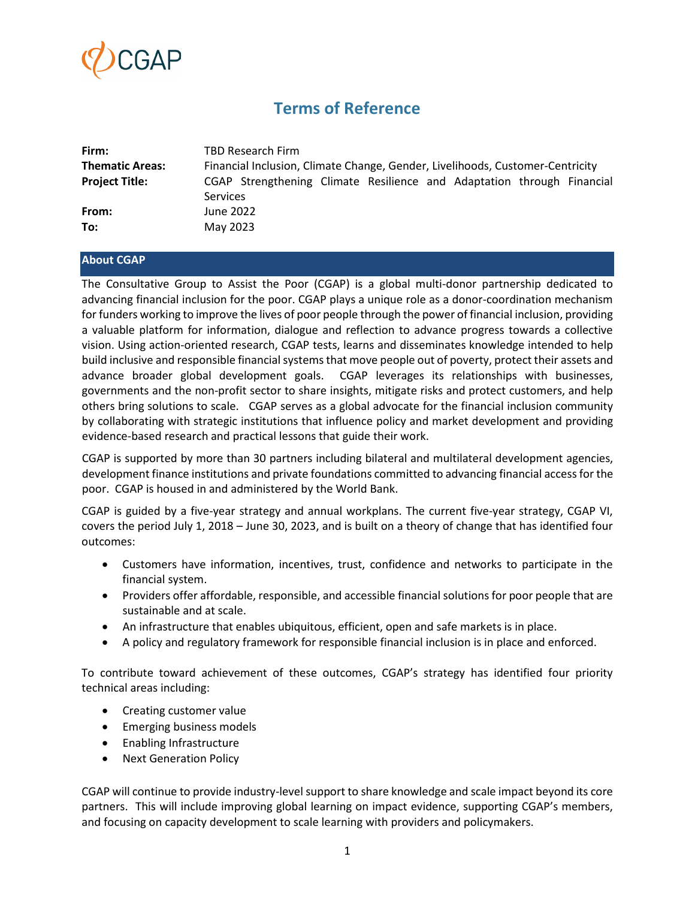

# **Terms of Reference**

| Firm:                  | <b>TBD Research Firm</b>                                                                  |
|------------------------|-------------------------------------------------------------------------------------------|
| <b>Thematic Areas:</b> | Financial Inclusion, Climate Change, Gender, Livelihoods, Customer-Centricity             |
| <b>Project Title:</b>  | CGAP Strengthening Climate Resilience and Adaptation through Financial<br><b>Services</b> |
| From:                  | June 2022                                                                                 |
| To:                    | May 2023                                                                                  |

# **About CGAP**

The Consultative Group to Assist the Poor (CGAP) is a global multi-donor partnership dedicated to advancing financial inclusion for the poor. CGAP plays a unique role as a donor-coordination mechanism for funders working to improve the lives of poor people through the power of financial inclusion, providing a valuable platform for information, dialogue and reflection to advance progress towards a collective vision. Using action-oriented research, CGAP tests, learns and disseminates knowledge intended to help build inclusive and responsible financial systems that move people out of poverty, protect their assets and advance broader global development goals. CGAP leverages its relationships with businesses, governments and the non-profit sector to share insights, mitigate risks and protect customers, and help others bring solutions to scale. CGAP serves as a global advocate for the financial inclusion community by collaborating with strategic institutions that influence policy and market development and providing evidence-based research and practical lessons that guide their work.

CGAP is supported by more than 30 partners including bilateral and multilateral development agencies, development finance institutions and private foundations committed to advancing financial accessfor the poor. CGAP is housed in and administered by the World Bank.

CGAP is guided by a five-year strategy and annual workplans. The current five-year strategy, CGAP VI, covers the period July 1, 2018 – June 30, 2023, and is built on a theory of change that has identified four outcomes:

- Customers have information, incentives, trust, confidence and networks to participate in the financial system.
- Providers offer affordable, responsible, and accessible financial solutions for poor people that are sustainable and at scale.
- An infrastructure that enables ubiquitous, efficient, open and safe markets is in place.
- A policy and regulatory framework for responsible financial inclusion is in place and enforced.

To contribute toward achievement of these outcomes, CGAP's strategy has identified four priority technical areas including:

- Creating customer value
- Emerging business models
- Enabling Infrastructure
- Next Generation Policy

CGAP will continue to provide industry-level support to share knowledge and scale impact beyond its core partners. This will include improving global learning on impact evidence, supporting CGAP's members, and focusing on capacity development to scale learning with providers and policymakers.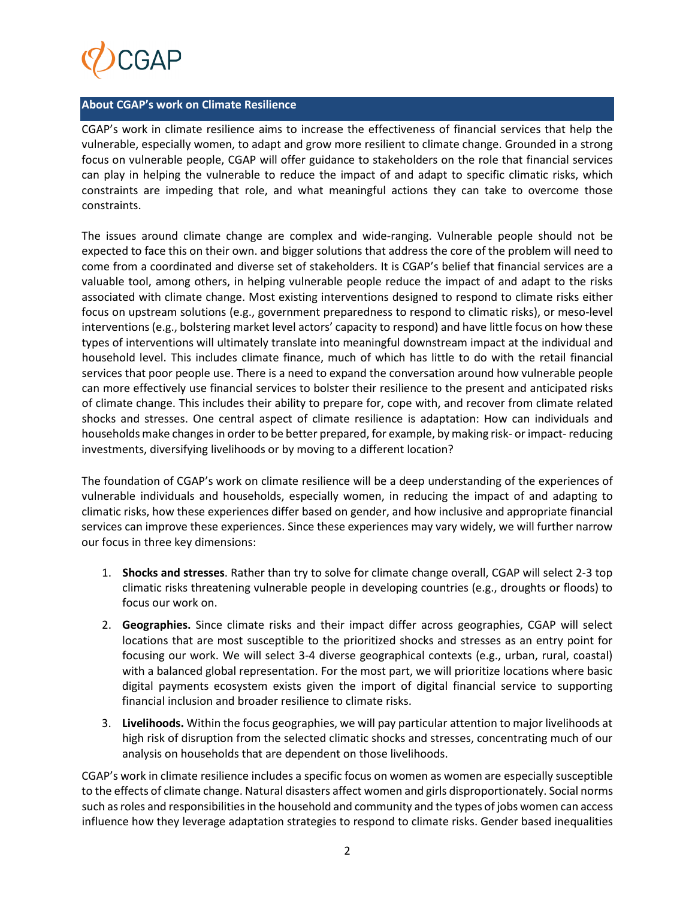

## **About CGAP's work on Climate Resilience**

CGAP's work in climate resilience aims to increase the effectiveness of financial services that help the vulnerable, especially women, to adapt and grow more resilient to climate change. Grounded in a strong focus on vulnerable people, CGAP will offer guidance to stakeholders on the role that financial services can play in helping the vulnerable to reduce the impact of and adapt to specific climatic risks, which constraints are impeding that role, and what meaningful actions they can take to overcome those constraints.

The issues around climate change are complex and wide-ranging. Vulnerable people should not be expected to face this on their own. and bigger solutions that address the core of the problem will need to come from a coordinated and diverse set of stakeholders. It is CGAP's belief that financial services are a valuable tool, among others, in helping vulnerable people reduce the impact of and adapt to the risks associated with climate change. Most existing interventions designed to respond to climate risks either focus on upstream solutions (e.g., government preparedness to respond to climatic risks), or meso-level interventions (e.g., bolstering market level actors' capacity to respond) and have little focus on how these types of interventions will ultimately translate into meaningful downstream impact at the individual and household level. This includes climate finance, much of which has little to do with the retail financial services that poor people use. There is a need to expand the conversation around how vulnerable people can more effectively use financial services to bolster their resilience to the present and anticipated risks of climate change. This includes their ability to prepare for, cope with, and recover from climate related shocks and stresses. One central aspect of climate resilience is adaptation: How can individuals and households make changes in order to be better prepared, for example, by making risk- or impact- reducing investments, diversifying livelihoods or by moving to a different location?

The foundation of CGAP's work on climate resilience will be a deep understanding of the experiences of vulnerable individuals and households, especially women, in reducing the impact of and adapting to climatic risks, how these experiences differ based on gender, and how inclusive and appropriate financial services can improve these experiences. Since these experiences may vary widely, we will further narrow our focus in three key dimensions:

- 1. **Shocks and stresses**. Rather than try to solve for climate change overall, CGAP will select 2-3 top climatic risks threatening vulnerable people in developing countries (e.g., droughts or floods) to focus our work on.
- 2. **Geographies.** Since climate risks and their impact differ across geographies, CGAP will select locations that are most susceptible to the prioritized shocks and stresses as an entry point for focusing our work. We will select 3-4 diverse geographical contexts (e.g., urban, rural, coastal) with a balanced global representation. For the most part, we will prioritize locations where basic digital payments ecosystem exists given the import of digital financial service to supporting financial inclusion and broader resilience to climate risks.
- 3. **Livelihoods.** Within the focus geographies, we will pay particular attention to major livelihoods at high risk of disruption from the selected climatic shocks and stresses, concentrating much of our analysis on households that are dependent on those livelihoods.

CGAP's work in climate resilience includes a specific focus on women as women are especially susceptible to the effects of climate change. Natural disasters affect women and girls disproportionately. Social norms such asroles and responsibilitiesin the household and community and the types of jobs women can access influence how they leverage adaptation strategies to respond to climate risks. Gender based inequalities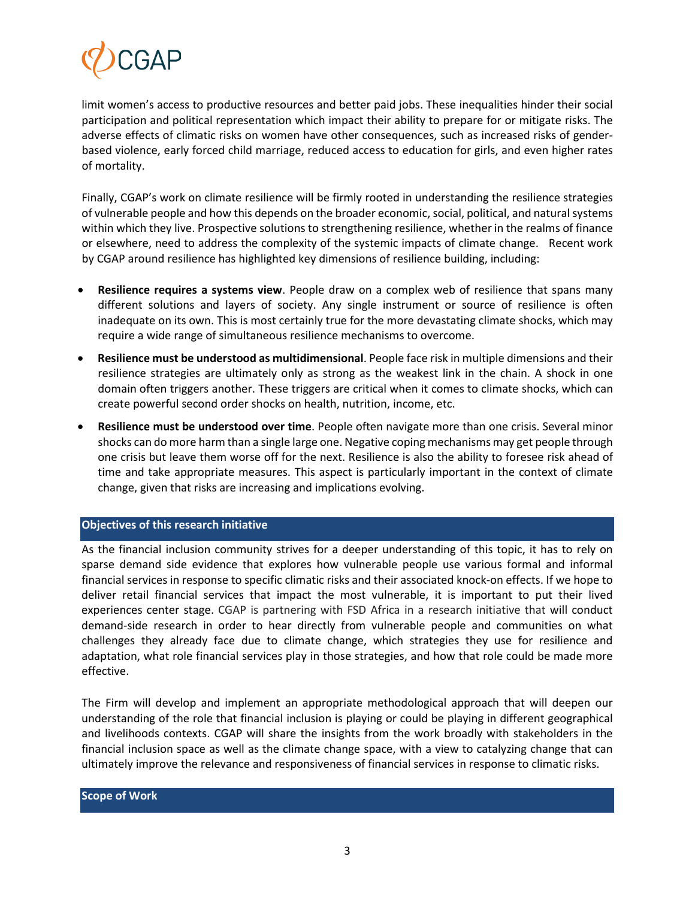

limit women's access to productive resources and better paid jobs. These inequalities hinder their social participation and political representation which impact their ability to prepare for or mitigate risks. The adverse effects of climatic risks on women have other consequences, such as increased risks of genderbased violence, early forced child marriage, reduced access to education for girls, and even higher rates of mortality.

Finally, CGAP's work on climate resilience will be firmly rooted in understanding the resilience strategies of vulnerable people and how this depends on the broader economic, social, political, and natural systems within which they live. Prospective solutions to strengthening resilience, whether in the realms of finance or elsewhere, need to address the complexity of the systemic impacts of climate change. Recent work by CGAP around resilience has highlighted key dimensions of resilience building, including:

- **Resilience requires a systems view**. People draw on a complex web of resilience that spans many different solutions and layers of society. Any single instrument or source of resilience is often inadequate on its own. This is most certainly true for the more devastating climate shocks, which may require a wide range of simultaneous resilience mechanisms to overcome.
- **Resilience must be understood as multidimensional**. People face risk in multiple dimensions and their resilience strategies are ultimately only as strong as the weakest link in the chain. A shock in one domain often triggers another. These triggers are critical when it comes to climate shocks, which can create powerful second order shocks on health, nutrition, income, etc.
- **Resilience must be understood over time**. People often navigate more than one crisis. Several minor shocks can do more harm than a single large one. Negative copingmechanisms may get people through one crisis but leave them worse off for the next. Resilience is also the ability to foresee risk ahead of time and take appropriate measures. This aspect is particularly important in the context of climate change, given that risks are increasing and implications evolving.

#### **Objectives of this research initiative**

As the financial inclusion community strives for a deeper understanding of this topic, it has to rely on sparse demand side evidence that explores how vulnerable people use various formal and informal financial services in response to specific climatic risks and their associated knock-on effects. If we hope to deliver retail financial services that impact the most vulnerable, it is important to put their lived experiences center stage. CGAP is partnering with FSD Africa in a research initiative that will conduct demand-side research in order to hear directly from vulnerable people and communities on what challenges they already face due to climate change, which strategies they use for resilience and adaptation, what role financial services play in those strategies, and how that role could be made more effective.

The Firm will develop and implement an appropriate methodological approach that will deepen our understanding of the role that financial inclusion is playing or could be playing in different geographical and livelihoods contexts. CGAP will share the insights from the work broadly with stakeholders in the financial inclusion space as well as the climate change space, with a view to catalyzing change that can ultimately improve the relevance and responsiveness of financial services in response to climatic risks.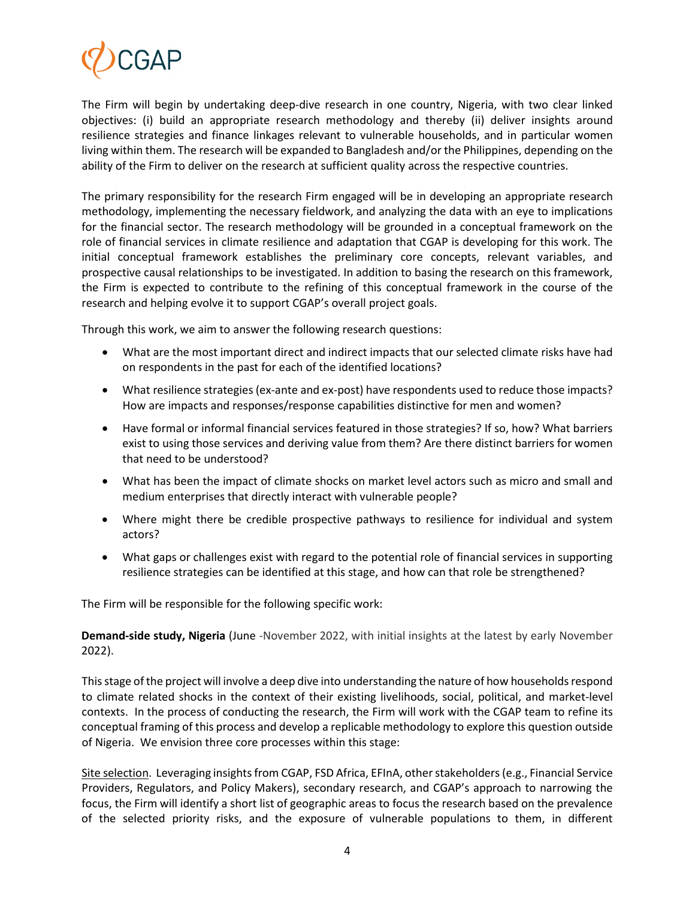

The Firm will begin by undertaking deep-dive research in one country, Nigeria, with two clear linked objectives: (i) build an appropriate research methodology and thereby (ii) deliver insights around resilience strategies and finance linkages relevant to vulnerable households, and in particular women living within them. The research will be expanded to Bangladesh and/or the Philippines, depending on the ability of the Firm to deliver on the research at sufficient quality across the respective countries.

The primary responsibility for the research Firm engaged will be in developing an appropriate research methodology, implementing the necessary fieldwork, and analyzing the data with an eye to implications for the financial sector. The research methodology will be grounded in a conceptual framework on the role of financial services in climate resilience and adaptation that CGAP is developing for this work. The initial conceptual framework establishes the preliminary core concepts, relevant variables, and prospective causal relationships to be investigated. In addition to basing the research on this framework, the Firm is expected to contribute to the refining of this conceptual framework in the course of the research and helping evolve it to support CGAP's overall project goals.

Through this work, we aim to answer the following research questions:

- What are the most important direct and indirect impacts that our selected climate risks have had on respondents in the past for each of the identified locations?
- What resilience strategies (ex-ante and ex-post) have respondents used to reduce those impacts? How are impacts and responses/response capabilities distinctive for men and women?
- Have formal or informal financial services featured in those strategies? If so, how? What barriers exist to using those services and deriving value from them? Are there distinct barriers for women that need to be understood?
- What has been the impact of climate shocks on market level actors such as micro and small and medium enterprises that directly interact with vulnerable people?
- Where might there be credible prospective pathways to resilience for individual and system actors?
- What gaps or challenges exist with regard to the potential role of financial services in supporting resilience strategies can be identified at this stage, and how can that role be strengthened?

The Firm will be responsible for the following specific work:

**Demand-side study, Nigeria** (June -November 2022, with initial insights at the latest by early November 2022).

This stage of the project will involve a deep dive into understanding the nature of how households respond to climate related shocks in the context of their existing livelihoods, social, political, and market-level contexts. In the process of conducting the research, the Firm will work with the CGAP team to refine its conceptual framing of this process and develop a replicable methodology to explore this question outside of Nigeria. We envision three core processes within this stage:

Site selection. Leveraging insights from CGAP, FSD Africa, EFInA, other stakeholders (e.g., Financial Service Providers, Regulators, and Policy Makers), secondary research, and CGAP's approach to narrowing the focus, the Firm will identify a short list of geographic areas to focus the research based on the prevalence of the selected priority risks, and the exposure of vulnerable populations to them, in different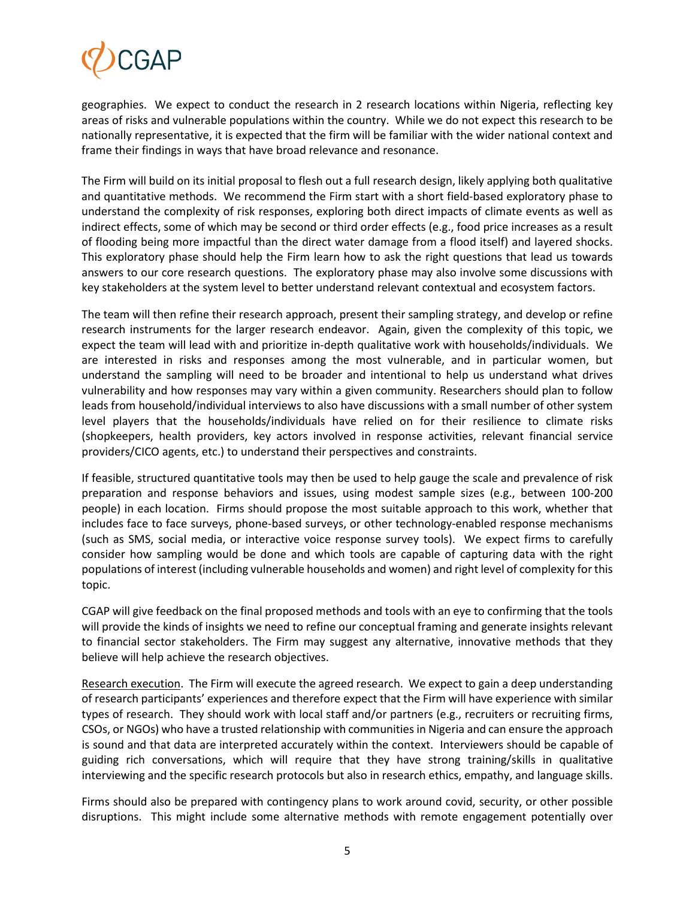

geographies. We expect to conduct the research in 2 research locations within Nigeria, reflecting key areas of risks and vulnerable populations within the country. While we do not expect this research to be nationally representative, it is expected that the firm will be familiar with the wider national context and frame their findings in ways that have broad relevance and resonance.

The Firm will build on its initial proposal to flesh out a full research design, likely applying both qualitative and quantitative methods. We recommend the Firm start with a short field-based exploratory phase to understand the complexity of risk responses, exploring both direct impacts of climate events as well as indirect effects, some of which may be second or third order effects (e.g., food price increases as a result of flooding being more impactful than the direct water damage from a flood itself) and layered shocks. This exploratory phase should help the Firm learn how to ask the right questions that lead us towards answers to our core research questions. The exploratory phase may also involve some discussions with key stakeholders at the system level to better understand relevant contextual and ecosystem factors.

The team will then refine their research approach, present their sampling strategy, and develop or refine research instruments for the larger research endeavor. Again, given the complexity of this topic, we expect the team will lead with and prioritize in-depth qualitative work with households/individuals. We are interested in risks and responses among the most vulnerable, and in particular women, but understand the sampling will need to be broader and intentional to help us understand what drives vulnerability and how responses may vary within a given community. Researchers should plan to follow leads from household/individual interviews to also have discussions with a small number of other system level players that the households/individuals have relied on for their resilience to climate risks (shopkeepers, health providers, key actors involved in response activities, relevant financial service providers/CICO agents, etc.) to understand their perspectives and constraints.

If feasible, structured quantitative tools may then be used to help gauge the scale and prevalence of risk preparation and response behaviors and issues, using modest sample sizes (e.g., between 100-200 people) in each location. Firms should propose the most suitable approach to this work, whether that includes face to face surveys, phone-based surveys, or other technology-enabled response mechanisms (such as SMS, social media, or interactive voice response survey tools). We expect firms to carefully consider how sampling would be done and which tools are capable of capturing data with the right populations of interest (including vulnerable households and women) and right level of complexity forthis topic.

CGAP will give feedback on the final proposed methods and tools with an eye to confirming that the tools will provide the kinds of insights we need to refine our conceptual framing and generate insights relevant to financial sector stakeholders. The Firm may suggest any alternative, innovative methods that they believe will help achieve the research objectives.

Research execution. The Firm will execute the agreed research. We expect to gain a deep understanding of research participants' experiences and therefore expect that the Firm will have experience with similar types of research. They should work with local staff and/or partners (e.g., recruiters or recruiting firms, CSOs, or NGOs) who have a trusted relationship with communities in Nigeria and can ensure the approach is sound and that data are interpreted accurately within the context. Interviewers should be capable of guiding rich conversations, which will require that they have strong training/skills in qualitative interviewing and the specific research protocols but also in research ethics, empathy, and language skills.

Firms should also be prepared with contingency plans to work around covid, security, or other possible disruptions. This might include some alternative methods with remote engagement potentially over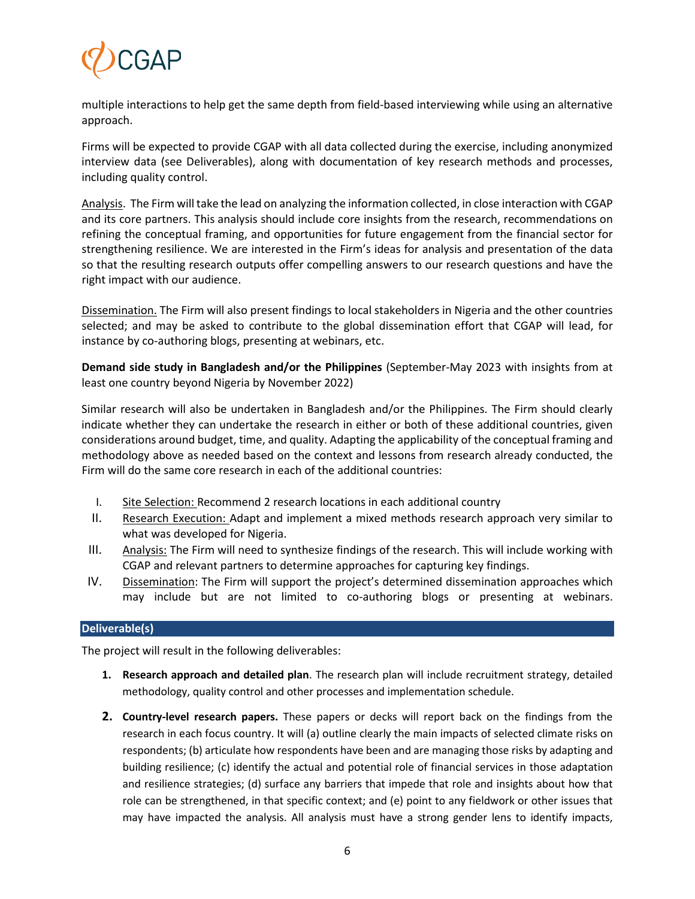

multiple interactions to help get the same depth from field-based interviewing while using an alternative approach.

Firms will be expected to provide CGAP with all data collected during the exercise, including anonymized interview data (see Deliverables), along with documentation of key research methods and processes, including quality control.

Analysis. The Firm will take the lead on analyzing the information collected, in close interaction with CGAP and its core partners. This analysis should include core insights from the research, recommendations on refining the conceptual framing, and opportunities for future engagement from the financial sector for strengthening resilience. We are interested in the Firm's ideas for analysis and presentation of the data so that the resulting research outputs offer compelling answers to our research questions and have the right impact with our audience.

Dissemination. The Firm will also present findings to local stakeholders in Nigeria and the other countries selected; and may be asked to contribute to the global dissemination effort that CGAP will lead, for instance by co-authoring blogs, presenting at webinars, etc.

**Demand side study in Bangladesh and/or the Philippines** (September-May 2023 with insights from at least one country beyond Nigeria by November 2022)

Similar research will also be undertaken in Bangladesh and/or the Philippines. The Firm should clearly indicate whether they can undertake the research in either or both of these additional countries, given considerations around budget, time, and quality. Adapting the applicability of the conceptual framing and methodology above as needed based on the context and lessons from research already conducted, the Firm will do the same core research in each of the additional countries:

- I. Site Selection: Recommend 2 research locations in each additional country
- II. Research Execution: Adapt and implement a mixed methods research approach very similar to what was developed for Nigeria.
- III. Analysis: The Firm will need to synthesize findings of the research. This will include working with CGAP and relevant partners to determine approaches for capturing key findings.
- IV. Dissemination: The Firm will support the project's determined dissemination approaches which may include but are not limited to co-authoring blogs or presenting at webinars.

## **Deliverable(s)**

The project will result in the following deliverables:

- **1. Research approach and detailed plan**. The research plan will include recruitment strategy, detailed methodology, quality control and other processes and implementation schedule.
- **2. Country-level research papers.** These papers or decks will report back on the findings from the research in each focus country. It will (a) outline clearly the main impacts of selected climate risks on respondents; (b) articulate how respondents have been and are managing those risks by adapting and building resilience; (c) identify the actual and potential role of financial services in those adaptation and resilience strategies; (d) surface any barriers that impede that role and insights about how that role can be strengthened, in that specific context; and (e) point to any fieldwork or other issues that may have impacted the analysis. All analysis must have a strong gender lens to identify impacts,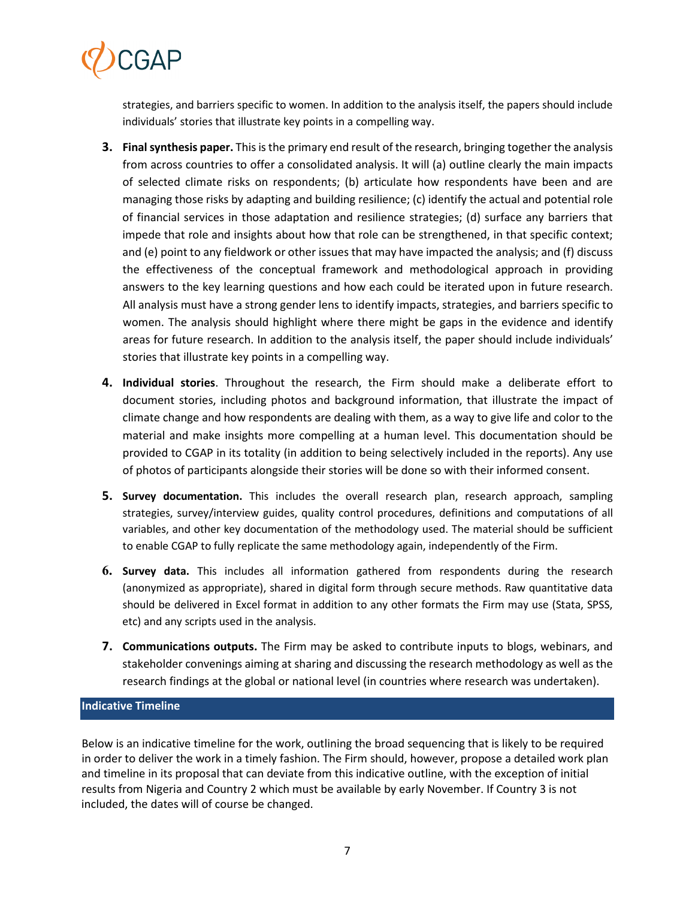

strategies, and barriers specific to women. In addition to the analysis itself, the papers should include individuals' stories that illustrate key points in a compelling way.

- **3.** Final synthesis paper. This is the primary end result of the research, bringing together the analysis from across countries to offer a consolidated analysis. It will (a) outline clearly the main impacts of selected climate risks on respondents; (b) articulate how respondents have been and are managing those risks by adapting and building resilience; (c) identify the actual and potential role of financial services in those adaptation and resilience strategies; (d) surface any barriers that impede that role and insights about how that role can be strengthened, in that specific context; and (e) point to any fieldwork or other issues that may have impacted the analysis; and (f) discuss the effectiveness of the conceptual framework and methodological approach in providing answers to the key learning questions and how each could be iterated upon in future research. All analysis must have a strong gender lens to identify impacts, strategies, and barriers specific to women. The analysis should highlight where there might be gaps in the evidence and identify areas for future research. In addition to the analysis itself, the paper should include individuals' stories that illustrate key points in a compelling way.
- **4. Individual stories**. Throughout the research, the Firm should make a deliberate effort to document stories, including photos and background information, that illustrate the impact of climate change and how respondents are dealing with them, as a way to give life and color to the material and make insights more compelling at a human level. This documentation should be provided to CGAP in its totality (in addition to being selectively included in the reports). Any use of photos of participants alongside their stories will be done so with their informed consent.
- **5. Survey documentation.** This includes the overall research plan, research approach, sampling strategies, survey/interview guides, quality control procedures, definitions and computations of all variables, and other key documentation of the methodology used. The material should be sufficient to enable CGAP to fully replicate the same methodology again, independently of the Firm.
- **6. Survey data.** This includes all information gathered from respondents during the research (anonymized as appropriate), shared in digital form through secure methods. Raw quantitative data should be delivered in Excel format in addition to any other formats the Firm may use (Stata, SPSS, etc) and any scripts used in the analysis.
- **7. Communications outputs.** The Firm may be asked to contribute inputs to blogs, webinars, and stakeholder convenings aiming at sharing and discussing the research methodology as well as the research findings at the global or national level (in countries where research was undertaken).

## **Indicative Timeline**

Below is an indicative timeline for the work, outlining the broad sequencing that is likely to be required in order to deliver the work in a timely fashion. The Firm should, however, propose a detailed work plan and timeline in its proposal that can deviate from this indicative outline, with the exception of initial results from Nigeria and Country 2 which must be available by early November. If Country 3 is not included, the dates will of course be changed.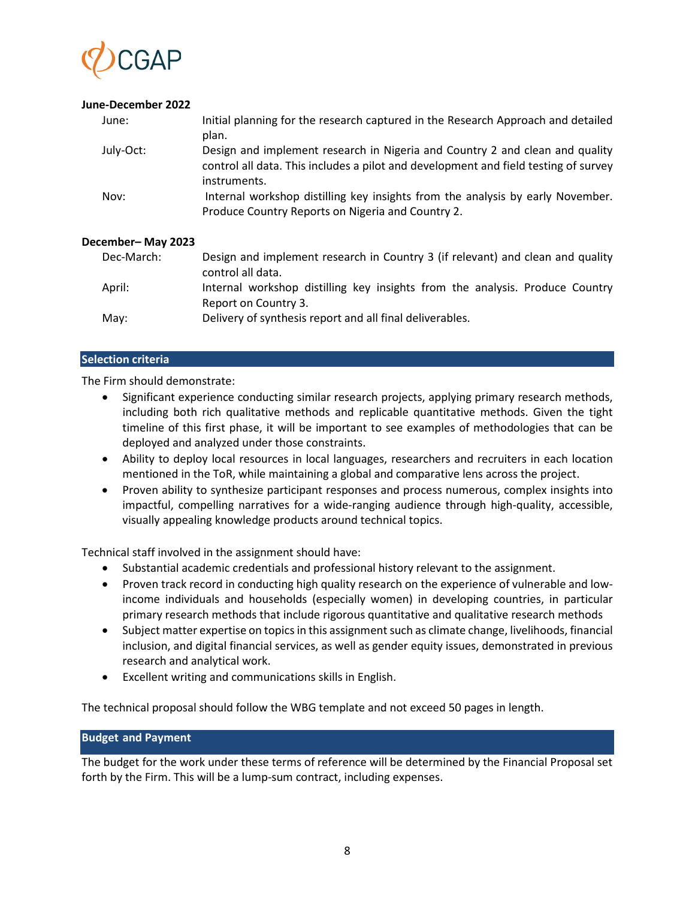

#### **June-December 2022**

| June:     | Initial planning for the research captured in the Research Approach and detailed<br>plan.                                                                                           |
|-----------|-------------------------------------------------------------------------------------------------------------------------------------------------------------------------------------|
| July-Oct: | Design and implement research in Nigeria and Country 2 and clean and quality<br>control all data. This includes a pilot and development and field testing of survey<br>instruments. |
| Nov:      | Internal workshop distilling key insights from the analysis by early November.<br>Produce Country Reports on Nigeria and Country 2.                                                 |
|           |                                                                                                                                                                                     |

#### **December– May 2023**

| Dec-March: | Design and implement research in Country 3 (if relevant) and clean and quality |
|------------|--------------------------------------------------------------------------------|
|            | control all data.                                                              |
| April:     | Internal workshop distilling key insights from the analysis. Produce Country   |
|            | Report on Country 3.                                                           |
| May:       | Delivery of synthesis report and all final deliverables.                       |

## **Selection criteria**

The Firm should demonstrate:

- Significant experience conducting similar research projects, applying primary research methods, including both rich qualitative methods and replicable quantitative methods. Given the tight timeline of this first phase, it will be important to see examples of methodologies that can be deployed and analyzed under those constraints.
- Ability to deploy local resources in local languages, researchers and recruiters in each location mentioned in the ToR, while maintaining a global and comparative lens across the project.
- Proven ability to synthesize participant responses and process numerous, complex insights into impactful, compelling narratives for a wide-ranging audience through high-quality, accessible, visually appealing knowledge products around technical topics.

Technical staff involved in the assignment should have:

- Substantial academic credentials and professional history relevant to the assignment.
- Proven track record in conducting high quality research on the experience of vulnerable and lowincome individuals and households (especially women) in developing countries, in particular primary research methods that include rigorous quantitative and qualitative research methods
- Subject matter expertise on topics in this assignment such as climate change, livelihoods, financial inclusion, and digital financial services, as well as gender equity issues, demonstrated in previous research and analytical work.
- Excellent writing and communications skills in English.

The technical proposal should follow the WBG template and not exceed 50 pages in length.

## **Budget and Payment**

The budget for the work under these terms of reference will be determined by the Financial Proposal set forth by the Firm. This will be a lump-sum contract, including expenses.